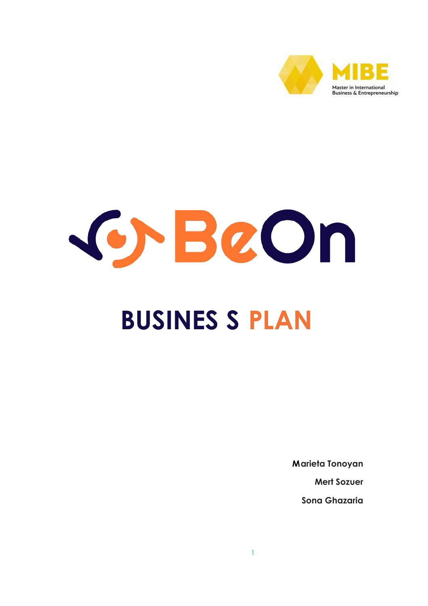

# GrBeOn **BUSINES S PLAN**

**Marieta Tonoyan** 

**Mert Sozuer** 

Song Ghazaria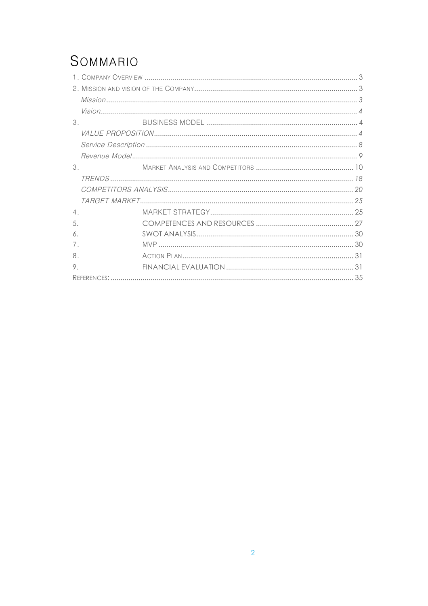## SOMMARIO

| $\mathcal{S}_{-}$ |  |
|-------------------|--|
|                   |  |
|                   |  |
|                   |  |
| 3.                |  |
|                   |  |
|                   |  |
|                   |  |
| 4.                |  |
| 5.                |  |
| 6.                |  |
| 7.                |  |
| 8.                |  |
| 9.                |  |
|                   |  |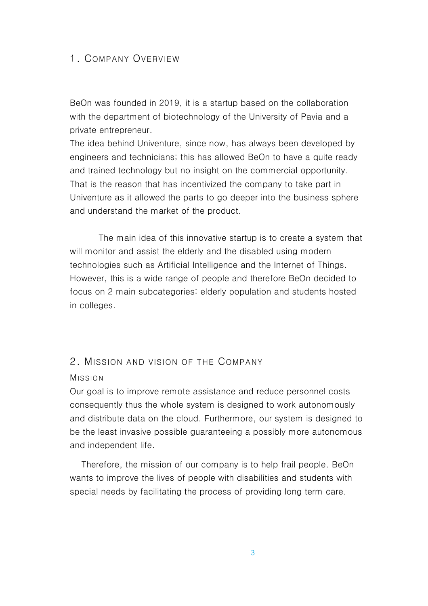### 1. COMPANY OVERVIEW

BeOn was founded in 2019, it is a startup based on the collaboration with the department of biotechnology of the University of Pavia and a private entrepreneur.

The idea behind Univenture, since now, has always been developed by engineers and technicians; this has allowed BeOn to have a quite ready and trained technology but no insight on the commercial opportunity. That is the reason that has incentivized the company to take part in Univenture as it allowed the parts to go deeper into the business sphere and understand the market of the product.

 The main idea of this innovative startup is to create a system that will monitor and assist the elderly and the disabled using modern technologies such as Artificial Intelligence and the Internet of Things. However, this is a wide range of people and therefore BeOn decided to focus on 2 main subcategories: elderly population and students hosted in colleges.

#### 2 MISSION AND VISION OF THE COMPANY

#### MISSION

Our goal is to improve remote assistance and reduce personnel costs consequently thus the whole system is designed to work autonomously and distribute data on the cloud. Furthermore, our system is designed to be the least invasive possible guaranteeing a possibly more autonomous and independent life.

 Therefore, the mission of our company is to help frail people. BeOn wants to improve the lives of people with disabilities and students with special needs by facilitating the process of providing long term care.